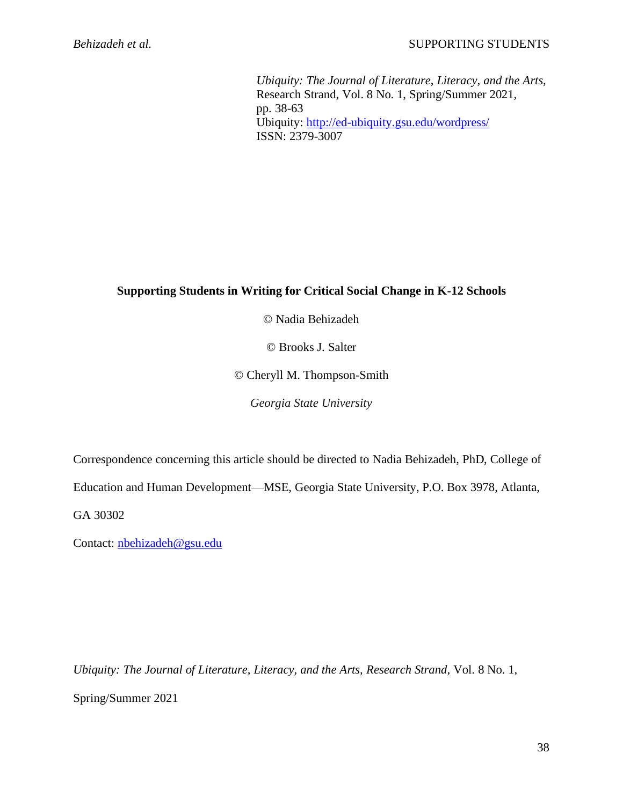*Ubiquity: The Journal of Literature, Literacy, and the Arts,* Research Strand, Vol. 8 No. 1, Spring/Summer 2021, pp. 38-63 Ubiquity:<http://ed-ubiquity.gsu.edu/wordpress/> ISSN: 2379-3007

# **Supporting Students in Writing for Critical Social Change in K-12 Schools**

© Nadia Behizadeh

© Brooks J. Salter

© Cheryll M. Thompson-Smith

*Georgia State University*

Correspondence concerning this article should be directed to Nadia Behizadeh, PhD, College of

Education and Human Development—MSE, Georgia State University, P.O. Box 3978, Atlanta,

GA 30302

Contact: [nbehizadeh@gsu.edu](mailto:nbehizadeh@gsu.edu)

*Ubiquity: The Journal of Literature, Literacy, and the Arts, Research Strand*, Vol. 8 No. 1, Spring/Summer 2021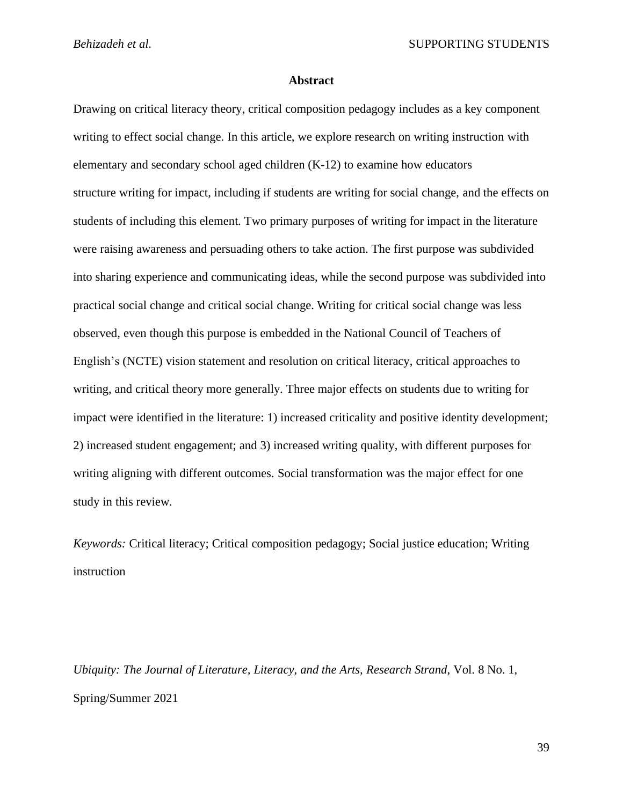# **Abstract**

Drawing on critical literacy theory, critical composition pedagogy includes as a key component writing to effect social change. In this article, we explore research on writing instruction with elementary and secondary school aged children (K-12) to examine how educators structure writing for impact, including if students are writing for social change, and the effects on students of including this element. Two primary purposes of writing for impact in the literature were raising awareness and persuading others to take action. The first purpose was subdivided into sharing experience and communicating ideas, while the second purpose was subdivided into practical social change and critical social change. Writing for critical social change was less observed, even though this purpose is embedded in the National Council of Teachers of English's (NCTE) vision statement and resolution on critical literacy, critical approaches to writing, and critical theory more generally. Three major effects on students due to writing for impact were identified in the literature: 1) increased criticality and positive identity development; 2) increased student engagement; and 3) increased writing quality, with different purposes for writing aligning with different outcomes. Social transformation was the major effect for one study in this review.

*Keywords:* Critical literacy; Critical composition pedagogy; Social justice education; Writing instruction

*Ubiquity: The Journal of Literature, Literacy, and the Arts, Research Strand*, Vol. 8 No. 1, Spring/Summer 2021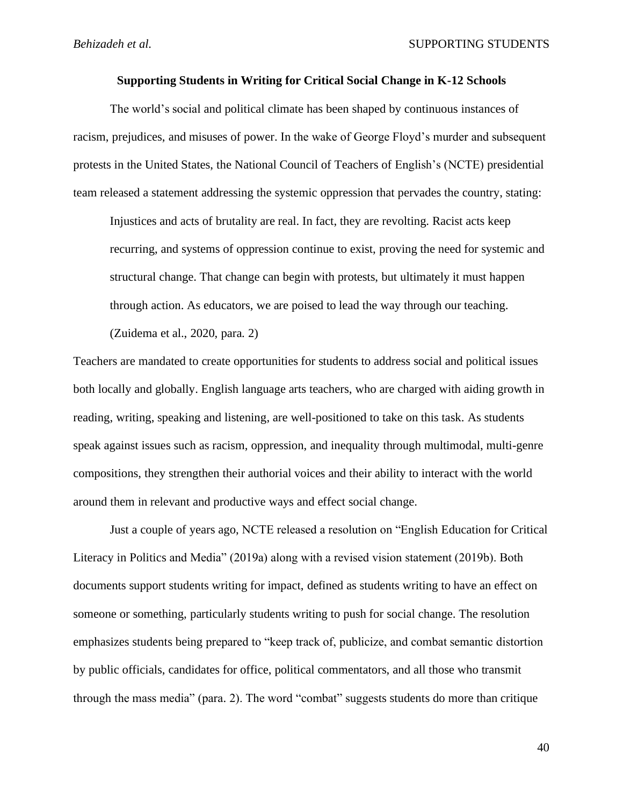# **Supporting Students in Writing for Critical Social Change in K-12 Schools**

The world's social and political climate has been shaped by continuous instances of racism, prejudices, and misuses of power. In the wake of George Floyd's murder and subsequent protests in the United States, the National Council of Teachers of English's (NCTE) presidential team released a statement addressing the systemic oppression that pervades the country, stating:

Injustices and acts of brutality are real. In fact, they are revolting. Racist acts keep recurring, and systems of oppression continue to exist, proving the need for systemic and structural change. That change can begin with protests, but ultimately it must happen through action. As educators, we are poised to lead the way through our teaching.

(Zuidema et al., 2020, para. 2)

Teachers are mandated to create opportunities for students to address social and political issues both locally and globally. English language arts teachers, who are charged with aiding growth in reading, writing, speaking and listening, are well-positioned to take on this task. As students speak against issues such as racism, oppression, and inequality through multimodal, multi-genre compositions, they strengthen their authorial voices and their ability to interact with the world around them in relevant and productive ways and effect social change.

Just a couple of years ago, NCTE released a resolution on "English Education for Critical Literacy in Politics and Media" (2019a) along with a revised vision statement (2019b). Both documents support students writing for impact, defined as students writing to have an effect on someone or something, particularly students writing to push for social change. The resolution emphasizes students being prepared to "keep track of, publicize, and combat semantic distortion by public officials, candidates for office, political commentators, and all those who transmit through the mass media" (para. 2). The word "combat" suggests students do more than critique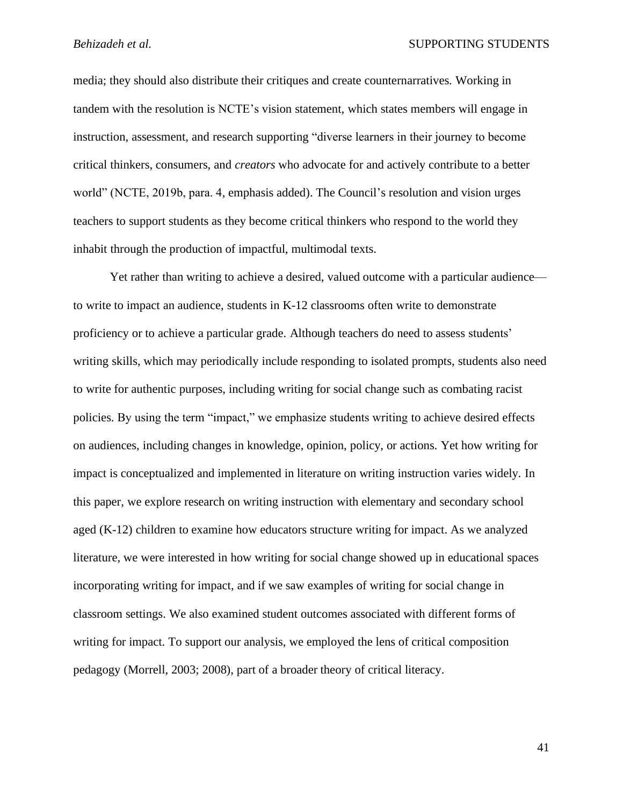media; they should also distribute their critiques and create counternarratives. Working in tandem with the resolution is NCTE's vision statement, which states members will engage in instruction, assessment, and research supporting "diverse learners in their journey to become critical thinkers, consumers, and *creators* who advocate for and actively contribute to a better world" (NCTE, 2019b, para. 4, emphasis added). The Council's resolution and vision urges teachers to support students as they become critical thinkers who respond to the world they inhabit through the production of impactful, multimodal texts.

Yet rather than writing to achieve a desired, valued outcome with a particular audience to write to impact an audience, students in K-12 classrooms often write to demonstrate proficiency or to achieve a particular grade. Although teachers do need to assess students' writing skills, which may periodically include responding to isolated prompts, students also need to write for authentic purposes, including writing for social change such as combating racist policies. By using the term "impact," we emphasize students writing to achieve desired effects on audiences, including changes in knowledge, opinion, policy, or actions. Yet how writing for impact is conceptualized and implemented in literature on writing instruction varies widely. In this paper, we explore research on writing instruction with elementary and secondary school aged (K-12) children to examine how educators structure writing for impact. As we analyzed literature, we were interested in how writing for social change showed up in educational spaces incorporating writing for impact, and if we saw examples of writing for social change in classroom settings. We also examined student outcomes associated with different forms of writing for impact. To support our analysis, we employed the lens of critical composition pedagogy (Morrell, 2003; 2008), part of a broader theory of critical literacy.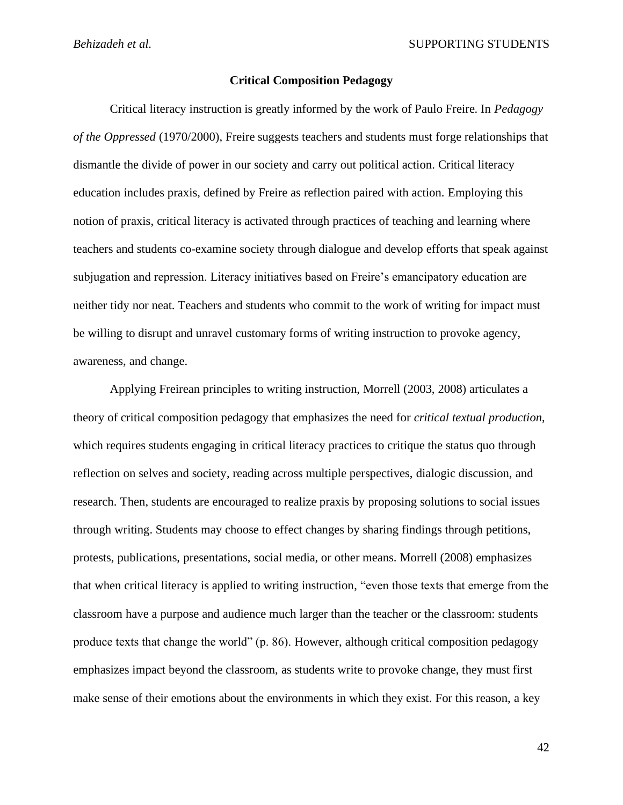# **Critical Composition Pedagogy**

Critical literacy instruction is greatly informed by the work of Paulo Freire. In *Pedagogy of the Oppressed* (1970/2000), Freire suggests teachers and students must forge relationships that dismantle the divide of power in our society and carry out political action. Critical literacy education includes praxis, defined by Freire as reflection paired with action. Employing this notion of praxis, critical literacy is activated through practices of teaching and learning where teachers and students co-examine society through dialogue and develop efforts that speak against subjugation and repression. Literacy initiatives based on Freire's emancipatory education are neither tidy nor neat. Teachers and students who commit to the work of writing for impact must be willing to disrupt and unravel customary forms of writing instruction to provoke agency, awareness, and change.

Applying Freirean principles to writing instruction, Morrell (2003, 2008) articulates a theory of critical composition pedagogy that emphasizes the need for *critical textual production*, which requires students engaging in critical literacy practices to critique the status quo through reflection on selves and society, reading across multiple perspectives, dialogic discussion, and research. Then, students are encouraged to realize praxis by proposing solutions to social issues through writing. Students may choose to effect changes by sharing findings through petitions, protests, publications, presentations, social media, or other means. Morrell (2008) emphasizes that when critical literacy is applied to writing instruction, "even those texts that emerge from the classroom have a purpose and audience much larger than the teacher or the classroom: students produce texts that change the world" (p. 86). However, although critical composition pedagogy emphasizes impact beyond the classroom, as students write to provoke change, they must first make sense of their emotions about the environments in which they exist. For this reason, a key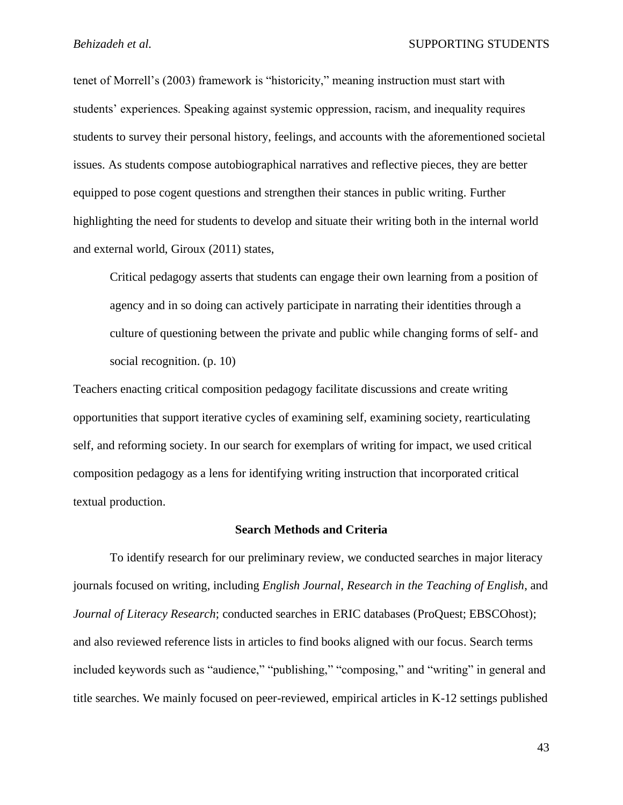tenet of Morrell's (2003) framework is "historicity," meaning instruction must start with students' experiences. Speaking against systemic oppression, racism, and inequality requires students to survey their personal history, feelings, and accounts with the aforementioned societal issues. As students compose autobiographical narratives and reflective pieces, they are better equipped to pose cogent questions and strengthen their stances in public writing. Further highlighting the need for students to develop and situate their writing both in the internal world and external world, Giroux (2011) states,

Critical pedagogy asserts that students can engage their own learning from a position of agency and in so doing can actively participate in narrating their identities through a culture of questioning between the private and public while changing forms of self- and social recognition. (p. 10)

Teachers enacting critical composition pedagogy facilitate discussions and create writing opportunities that support iterative cycles of examining self, examining society, rearticulating self, and reforming society. In our search for exemplars of writing for impact, we used critical composition pedagogy as a lens for identifying writing instruction that incorporated critical textual production.

### **Search Methods and Criteria**

To identify research for our preliminary review, we conducted searches in major literacy journals focused on writing, including *English Journal*, *Research in the Teaching of English*, and *Journal of Literacy Research*; conducted searches in ERIC databases (ProQuest; EBSCOhost); and also reviewed reference lists in articles to find books aligned with our focus. Search terms included keywords such as "audience," "publishing," "composing," and "writing" in general and title searches. We mainly focused on peer-reviewed, empirical articles in K-12 settings published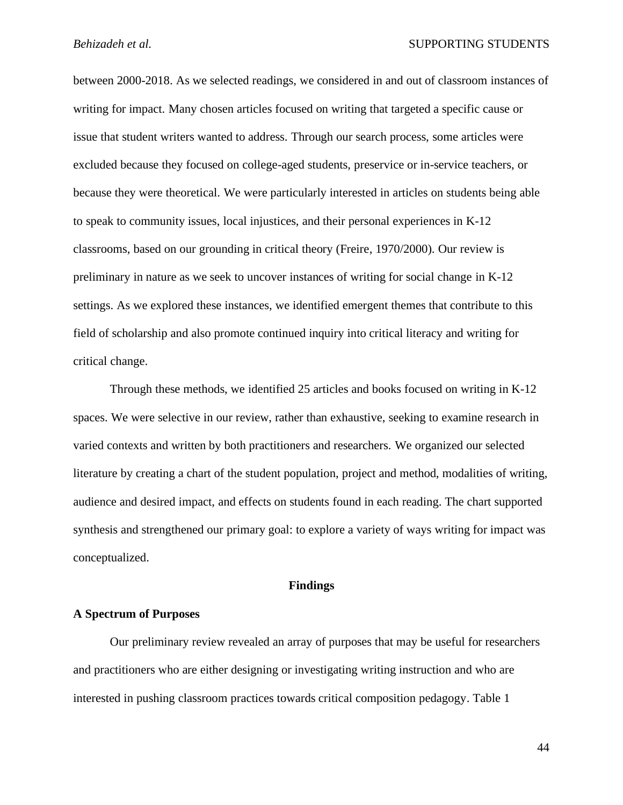between 2000-2018. As we selected readings, we considered in and out of classroom instances of writing for impact. Many chosen articles focused on writing that targeted a specific cause or issue that student writers wanted to address. Through our search process, some articles were excluded because they focused on college-aged students, preservice or in-service teachers, or because they were theoretical. We were particularly interested in articles on students being able to speak to community issues, local injustices, and their personal experiences in K-12 classrooms, based on our grounding in critical theory (Freire, 1970/2000). Our review is preliminary in nature as we seek to uncover instances of writing for social change in K-12 settings. As we explored these instances, we identified emergent themes that contribute to this field of scholarship and also promote continued inquiry into critical literacy and writing for critical change.

Through these methods, we identified 25 articles and books focused on writing in K-12 spaces. We were selective in our review, rather than exhaustive, seeking to examine research in varied contexts and written by both practitioners and researchers. We organized our selected literature by creating a chart of the student population, project and method, modalities of writing, audience and desired impact, and effects on students found in each reading. The chart supported synthesis and strengthened our primary goal: to explore a variety of ways writing for impact was conceptualized.

### **Findings**

# **A Spectrum of Purposes**

Our preliminary review revealed an array of purposes that may be useful for researchers and practitioners who are either designing or investigating writing instruction and who are interested in pushing classroom practices towards critical composition pedagogy. Table 1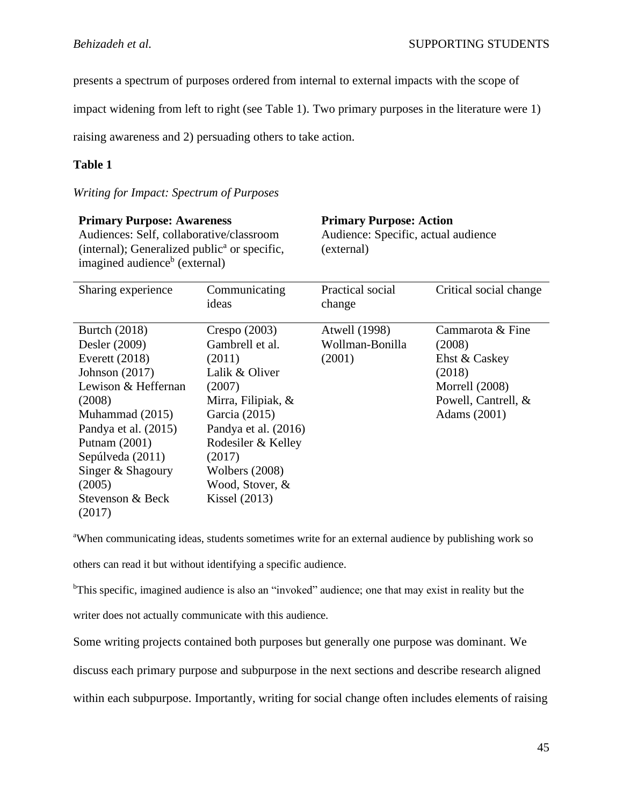presents a spectrum of purposes ordered from internal to external impacts with the scope of

impact widening from left to right (see Table 1). Two primary purposes in the literature were 1)

raising awareness and 2) persuading others to take action.

# **Table 1**

# *Writing for Impact: Spectrum of Purposes*

| <b>Primary Purpose: Awareness</b><br>Audiences: Self, collaborative/classroom<br>(internal); Generalized public <sup>a</sup> or specific,<br>imagined audience <sup>b</sup> (external) |                        | <b>Primary Purpose: Action</b><br>Audience: Specific, actual audience<br>(external) |                        |
|----------------------------------------------------------------------------------------------------------------------------------------------------------------------------------------|------------------------|-------------------------------------------------------------------------------------|------------------------|
| Sharing experience                                                                                                                                                                     | Communicating<br>ideas | Practical social<br>change                                                          | Critical social change |
| Burtch (2018)                                                                                                                                                                          | Crespo $(2003)$        | Atwell (1998)                                                                       | Cammarota & Fine       |
| Desler (2009)                                                                                                                                                                          | Gambrell et al.        | Wollman-Bonilla                                                                     | (2008)                 |
| Everett $(2018)$                                                                                                                                                                       | (2011)                 | (2001)                                                                              | Ehst & Caskey          |
| Johnson $(2017)$                                                                                                                                                                       | Lalik & Oliver         |                                                                                     | (2018)                 |
| Lewison & Heffernan                                                                                                                                                                    | (2007)                 |                                                                                     | Morrell $(2008)$       |
| (2008)                                                                                                                                                                                 | Mirra, Filipiak, &     |                                                                                     | Powell, Cantrell, &    |
| Muhammad (2015)                                                                                                                                                                        | Garcia (2015)          |                                                                                     | Adams (2001)           |
| Pandya et al. (2015)                                                                                                                                                                   | Pandya et al. (2016)   |                                                                                     |                        |
| Putnam (2001)                                                                                                                                                                          | Rodesiler & Kelley     |                                                                                     |                        |
| Sepúlveda (2011)                                                                                                                                                                       | (2017)                 |                                                                                     |                        |
| Singer & Shagoury                                                                                                                                                                      | Wolbers (2008)         |                                                                                     |                        |
| (2005)                                                                                                                                                                                 | Wood, Stover, &        |                                                                                     |                        |
| Stevenson & Beck<br>(2017)                                                                                                                                                             | Kissel $(2013)$        |                                                                                     |                        |

<sup>a</sup>When communicating ideas, students sometimes write for an external audience by publishing work so others can read it but without identifying a specific audience.

<sup>b</sup>This specific, imagined audience is also an "invoked" audience; one that may exist in reality but the writer does not actually communicate with this audience.

Some writing projects contained both purposes but generally one purpose was dominant. We discuss each primary purpose and subpurpose in the next sections and describe research aligned within each subpurpose. Importantly, writing for social change often includes elements of raising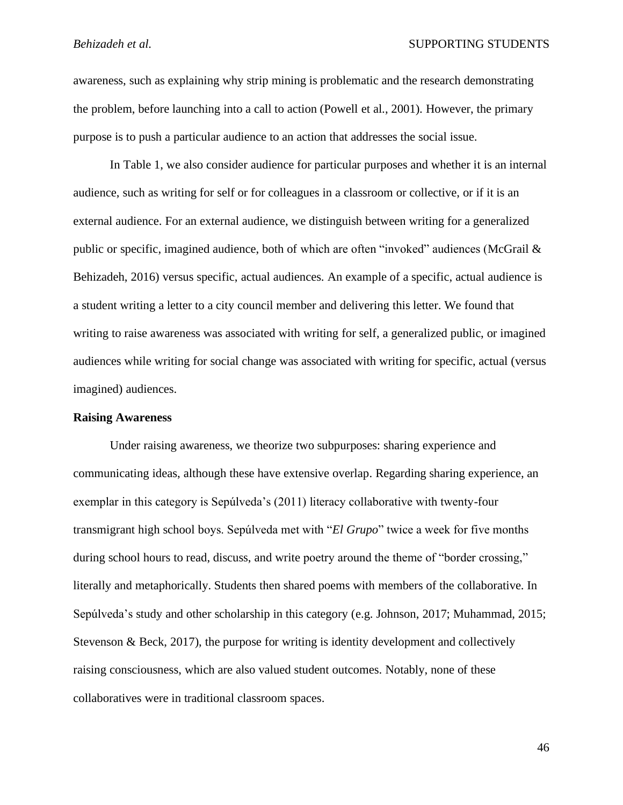awareness, such as explaining why strip mining is problematic and the research demonstrating the problem, before launching into a call to action (Powell et al., 2001). However, the primary purpose is to push a particular audience to an action that addresses the social issue.

In Table 1, we also consider audience for particular purposes and whether it is an internal audience, such as writing for self or for colleagues in a classroom or collective, or if it is an external audience. For an external audience, we distinguish between writing for a generalized public or specific, imagined audience, both of which are often "invoked" audiences (McGrail & Behizadeh, 2016) versus specific, actual audiences. An example of a specific, actual audience is a student writing a letter to a city council member and delivering this letter. We found that writing to raise awareness was associated with writing for self, a generalized public, or imagined audiences while writing for social change was associated with writing for specific, actual (versus imagined) audiences.

# **Raising Awareness**

Under raising awareness, we theorize two subpurposes: sharing experience and communicating ideas, although these have extensive overlap. Regarding sharing experience, an exemplar in this category is Sepúlveda's (2011) literacy collaborative with twenty-four transmigrant high school boys. Sepúlveda met with "*El Grupo*" twice a week for five months during school hours to read, discuss, and write poetry around the theme of "border crossing," literally and metaphorically. Students then shared poems with members of the collaborative. In Sepúlveda's study and other scholarship in this category (e.g. Johnson, 2017; Muhammad, 2015; Stevenson & Beck, 2017), the purpose for writing is identity development and collectively raising consciousness, which are also valued student outcomes. Notably, none of these collaboratives were in traditional classroom spaces.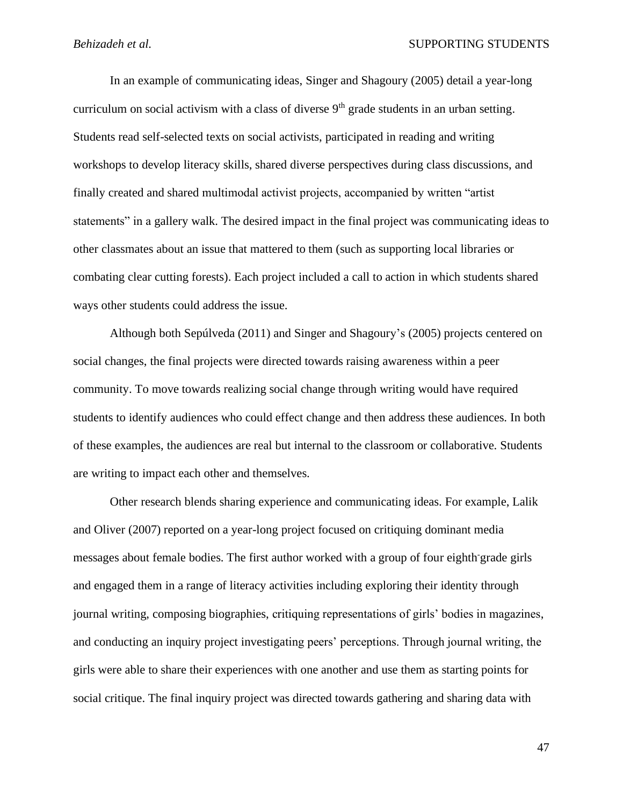In an example of communicating ideas, Singer and Shagoury (2005) detail a year-long curriculum on social activism with a class of diverse  $9<sup>th</sup>$  grade students in an urban setting. Students read self-selected texts on social activists, participated in reading and writing workshops to develop literacy skills, shared diverse perspectives during class discussions, and finally created and shared multimodal activist projects, accompanied by written "artist statements" in a gallery walk. The desired impact in the final project was communicating ideas to other classmates about an issue that mattered to them (such as supporting local libraries or combating clear cutting forests). Each project included a call to action in which students shared ways other students could address the issue.

Although both Sepúlveda (2011) and Singer and Shagoury's (2005) projects centered on social changes, the final projects were directed towards raising awareness within a peer community. To move towards realizing social change through writing would have required students to identify audiences who could effect change and then address these audiences. In both of these examples, the audiences are real but internal to the classroom or collaborative. Students are writing to impact each other and themselves.

Other research blends sharing experience and communicating ideas. For example, Lalik and Oliver (2007) reported on a year-long project focused on critiquing dominant media messages about female bodies. The first author worked with a group of four eighth-grade girls and engaged them in a range of literacy activities including exploring their identity through journal writing, composing biographies, critiquing representations of girls' bodies in magazines, and conducting an inquiry project investigating peers' perceptions. Through journal writing, the girls were able to share their experiences with one another and use them as starting points for social critique. The final inquiry project was directed towards gathering and sharing data with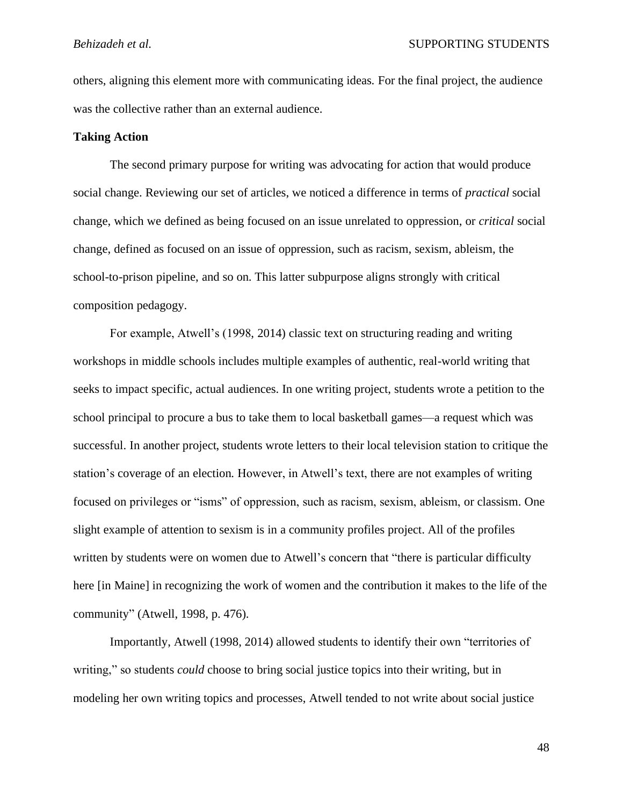others, aligning this element more with communicating ideas. For the final project, the audience was the collective rather than an external audience.

# **Taking Action**

The second primary purpose for writing was advocating for action that would produce social change. Reviewing our set of articles, we noticed a difference in terms of *practical* social change, which we defined as being focused on an issue unrelated to oppression, or *critical* social change, defined as focused on an issue of oppression, such as racism, sexism, ableism, the school-to-prison pipeline, and so on. This latter subpurpose aligns strongly with critical composition pedagogy.

For example, Atwell's (1998, 2014) classic text on structuring reading and writing workshops in middle schools includes multiple examples of authentic, real-world writing that seeks to impact specific, actual audiences. In one writing project, students wrote a petition to the school principal to procure a bus to take them to local basketball games—a request which was successful. In another project, students wrote letters to their local television station to critique the station's coverage of an election. However, in Atwell's text, there are not examples of writing focused on privileges or "isms" of oppression, such as racism, sexism, ableism, or classism. One slight example of attention to sexism is in a community profiles project. All of the profiles written by students were on women due to Atwell's concern that "there is particular difficulty here [in Maine] in recognizing the work of women and the contribution it makes to the life of the community" (Atwell, 1998, p. 476).

Importantly, Atwell (1998, 2014) allowed students to identify their own "territories of writing," so students *could* choose to bring social justice topics into their writing, but in modeling her own writing topics and processes, Atwell tended to not write about social justice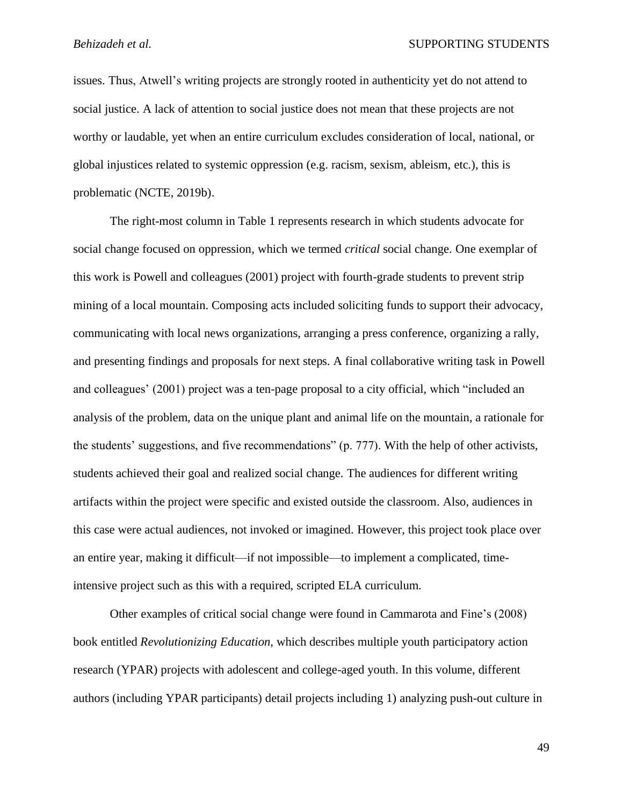issues. Thus, Atwell's writing projects are strongly rooted in authenticity yet do not attend to social justice. A lack of attention to social justice does not mean that these projects are not worthy or laudable, yet when an entire curriculum excludes consideration of local, national, or global injustices related to systemic oppression (e.g. racism, sexism, ableism, etc.), this is problematic (NCTE, 2019b).

The right-most column in Table 1 represents research in which students advocate for social change focused on oppression, which we termed *critical* social change. One exemplar of this work is Powell and colleagues (2001) project with fourth-grade students to prevent strip mining of a local mountain. Composing acts included soliciting funds to support their advocacy, communicating with local news organizations, arranging a press conference, organizing a rally, and presenting findings and proposals for next steps. A final collaborative writing task in Powell and colleagues' (2001) project was a ten-page proposal to a city official, which "included an analysis of the problem, data on the unique plant and animal life on the mountain, a rationale for the students' suggestions, and five recommendations" (p. 777). With the help of other activists, students achieved their goal and realized social change. The audiences for different writing artifacts within the project were specific and existed outside the classroom. Also, audiences in this case were actual audiences, not invoked or imagined. However, this project took place over an entire year, making it difficult—if not impossible—to implement a complicated, timeintensive project such as this with a required, scripted ELA curriculum.

Other examples of critical social change were found in Cammarota and Fine's (2008) book entitled *Revolutionizing Education*, which describes multiple youth participatory action research (YPAR) projects with adolescent and college-aged youth. In this volume, different authors (including YPAR participants) detail projects including 1) analyzing push-out culture in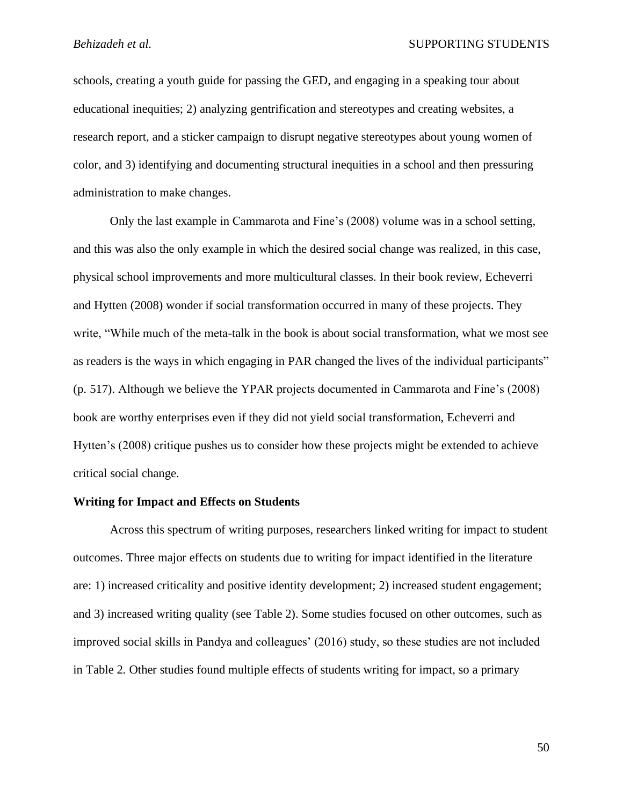schools, creating a youth guide for passing the GED, and engaging in a speaking tour about educational inequities; 2) analyzing gentrification and stereotypes and creating websites, a research report, and a sticker campaign to disrupt negative stereotypes about young women of color, and 3) identifying and documenting structural inequities in a school and then pressuring administration to make changes.

Only the last example in Cammarota and Fine's (2008) volume was in a school setting, and this was also the only example in which the desired social change was realized, in this case, physical school improvements and more multicultural classes. In their book review, Echeverri and Hytten (2008) wonder if social transformation occurred in many of these projects. They write, "While much of the meta-talk in the book is about social transformation, what we most see as readers is the ways in which engaging in PAR changed the lives of the individual participants" (p. 517). Although we believe the YPAR projects documented in Cammarota and Fine's (2008) book are worthy enterprises even if they did not yield social transformation, Echeverri and Hytten's (2008) critique pushes us to consider how these projects might be extended to achieve critical social change.

### **Writing for Impact and Effects on Students**

Across this spectrum of writing purposes, researchers linked writing for impact to student outcomes. Three major effects on students due to writing for impact identified in the literature are: 1) increased criticality and positive identity development; 2) increased student engagement; and 3) increased writing quality (see Table 2). Some studies focused on other outcomes, such as improved social skills in Pandya and colleagues' (2016) study, so these studies are not included in Table 2. Other studies found multiple effects of students writing for impact, so a primary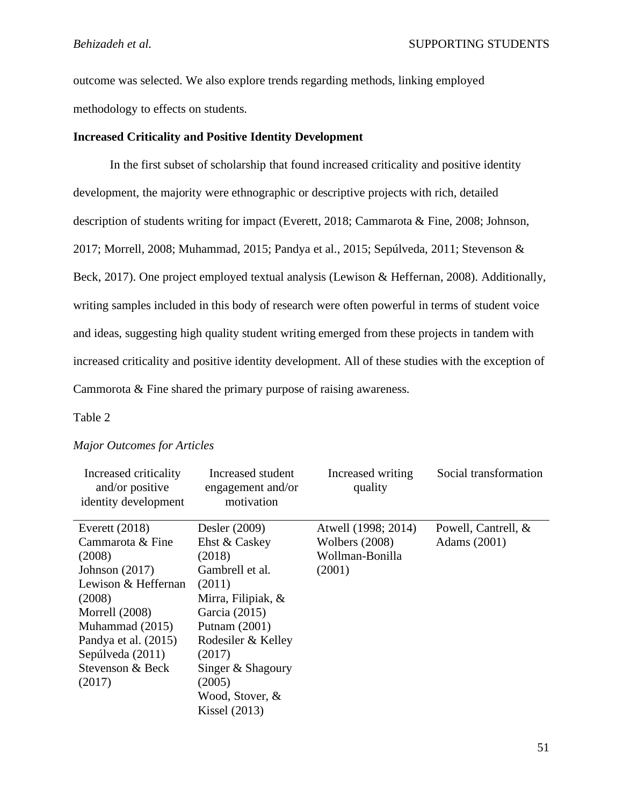outcome was selected. We also explore trends regarding methods, linking employed methodology to effects on students.

# **Increased Criticality and Positive Identity Development**

In the first subset of scholarship that found increased criticality and positive identity development, the majority were ethnographic or descriptive projects with rich, detailed description of students writing for impact (Everett, 2018; Cammarota & Fine, 2008; Johnson, 2017; Morrell, 2008; Muhammad, 2015; Pandya et al., 2015; Sepúlveda, 2011; Stevenson & Beck, 2017). One project employed textual analysis (Lewison & Heffernan, 2008). Additionally, writing samples included in this body of research were often powerful in terms of student voice and ideas, suggesting high quality student writing emerged from these projects in tandem with increased criticality and positive identity development. All of these studies with the exception of Cammorota & Fine shared the primary purpose of raising awareness.

# Table 2

### *Major Outcomes for Articles*

| Increased criticality<br>and/or positive<br>identity development | Increased student<br>engagement and/or<br>motivation | Increased writing<br>quality | Social transformation |
|------------------------------------------------------------------|------------------------------------------------------|------------------------------|-----------------------|
| Everett $(2018)$                                                 | Desler (2009)                                        | Atwell (1998; 2014)          | Powell, Cantrell, &   |
| Cammarota & Fine                                                 | Ehst & Caskey                                        | Wolbers $(2008)$             | Adams (2001)          |
| (2008)                                                           | (2018)                                               | Wollman-Bonilla              |                       |
| Johnson $(2017)$                                                 | Gambrell et al.                                      | (2001)                       |                       |
| Lewison & Heffernan                                              | (2011)                                               |                              |                       |
| (2008)                                                           | Mirra, Filipiak, &                                   |                              |                       |
| Morrell (2008)                                                   | Garcia (2015)                                        |                              |                       |
| Muhammad (2015)                                                  | Putnam $(2001)$                                      |                              |                       |
| Pandya et al. (2015)                                             | Rodesiler & Kelley                                   |                              |                       |
| Sepúlveda (2011)                                                 | (2017)                                               |                              |                       |
| Stevenson & Beck                                                 | Singer & Shagoury                                    |                              |                       |
| (2017)                                                           | (2005)                                               |                              |                       |
|                                                                  | Wood, Stover, &                                      |                              |                       |
|                                                                  | Kissel $(2013)$                                      |                              |                       |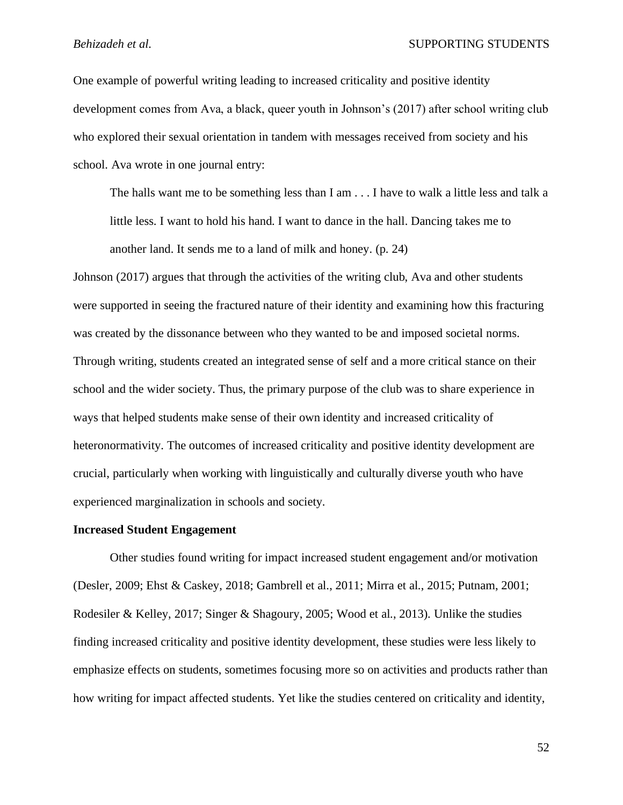One example of powerful writing leading to increased criticality and positive identity development comes from Ava, a black, queer youth in Johnson's (2017) after school writing club who explored their sexual orientation in tandem with messages received from society and his school. Ava wrote in one journal entry:

The halls want me to be something less than I am . . . I have to walk a little less and talk a little less. I want to hold his hand. I want to dance in the hall. Dancing takes me to another land. It sends me to a land of milk and honey. (p. 24)

Johnson (2017) argues that through the activities of the writing club, Ava and other students were supported in seeing the fractured nature of their identity and examining how this fracturing was created by the dissonance between who they wanted to be and imposed societal norms. Through writing, students created an integrated sense of self and a more critical stance on their school and the wider society. Thus, the primary purpose of the club was to share experience in ways that helped students make sense of their own identity and increased criticality of heteronormativity. The outcomes of increased criticality and positive identity development are crucial, particularly when working with linguistically and culturally diverse youth who have experienced marginalization in schools and society.

### **Increased Student Engagement**

Other studies found writing for impact increased student engagement and/or motivation (Desler, 2009; Ehst & Caskey, 2018; Gambrell et al., 2011; Mirra et al., 2015; Putnam, 2001; Rodesiler & Kelley, 2017; Singer & Shagoury, 2005; Wood et al., 2013). Unlike the studies finding increased criticality and positive identity development, these studies were less likely to emphasize effects on students, sometimes focusing more so on activities and products rather than how writing for impact affected students. Yet like the studies centered on criticality and identity,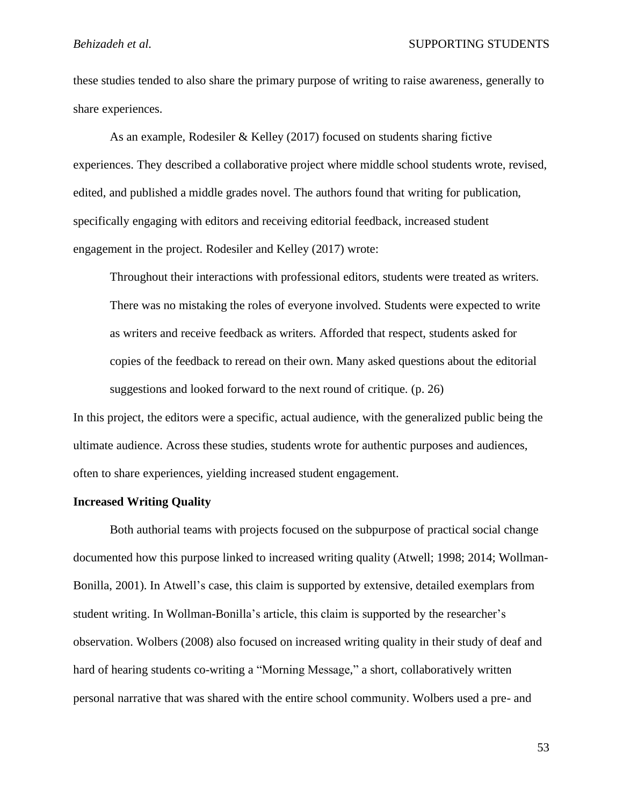these studies tended to also share the primary purpose of writing to raise awareness, generally to share experiences.

As an example, Rodesiler & Kelley (2017) focused on students sharing fictive experiences. They described a collaborative project where middle school students wrote, revised, edited, and published a middle grades novel. The authors found that writing for publication, specifically engaging with editors and receiving editorial feedback, increased student engagement in the project. Rodesiler and Kelley (2017) wrote:

Throughout their interactions with professional editors, students were treated as writers. There was no mistaking the roles of everyone involved. Students were expected to write as writers and receive feedback as writers. Afforded that respect, students asked for copies of the feedback to reread on their own. Many asked questions about the editorial suggestions and looked forward to the next round of critique. (p. 26)

In this project, the editors were a specific, actual audience, with the generalized public being the ultimate audience. Across these studies, students wrote for authentic purposes and audiences, often to share experiences, yielding increased student engagement.

# **Increased Writing Quality**

Both authorial teams with projects focused on the subpurpose of practical social change documented how this purpose linked to increased writing quality (Atwell; 1998; 2014; Wollman-Bonilla, 2001). In Atwell's case, this claim is supported by extensive, detailed exemplars from student writing. In Wollman-Bonilla's article, this claim is supported by the researcher's observation. Wolbers (2008) also focused on increased writing quality in their study of deaf and hard of hearing students co-writing a "Morning Message," a short, collaboratively written personal narrative that was shared with the entire school community. Wolbers used a pre- and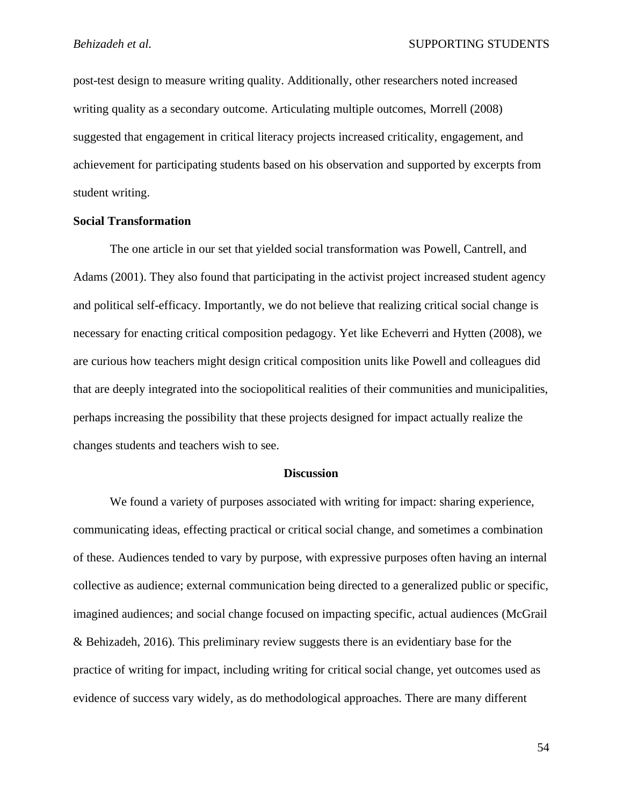post-test design to measure writing quality. Additionally, other researchers noted increased writing quality as a secondary outcome. Articulating multiple outcomes, Morrell (2008) suggested that engagement in critical literacy projects increased criticality, engagement, and achievement for participating students based on his observation and supported by excerpts from student writing.

# **Social Transformation**

The one article in our set that yielded social transformation was Powell, Cantrell, and Adams (2001). They also found that participating in the activist project increased student agency and political self-efficacy. Importantly, we do not believe that realizing critical social change is necessary for enacting critical composition pedagogy. Yet like Echeverri and Hytten (2008), we are curious how teachers might design critical composition units like Powell and colleagues did that are deeply integrated into the sociopolitical realities of their communities and municipalities, perhaps increasing the possibility that these projects designed for impact actually realize the changes students and teachers wish to see.

### **Discussion**

We found a variety of purposes associated with writing for impact: sharing experience, communicating ideas, effecting practical or critical social change, and sometimes a combination of these. Audiences tended to vary by purpose, with expressive purposes often having an internal collective as audience; external communication being directed to a generalized public or specific, imagined audiences; and social change focused on impacting specific, actual audiences (McGrail & Behizadeh, 2016). This preliminary review suggests there is an evidentiary base for the practice of writing for impact, including writing for critical social change, yet outcomes used as evidence of success vary widely, as do methodological approaches. There are many different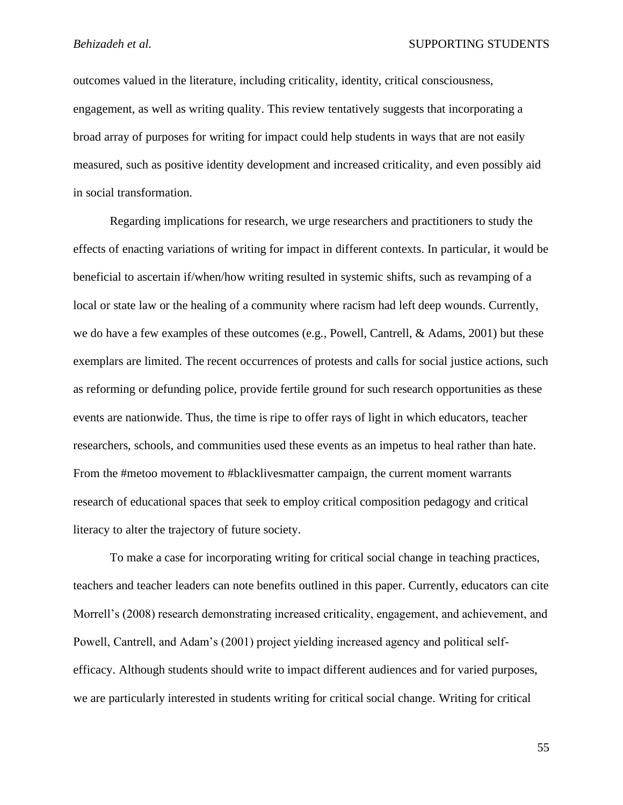outcomes valued in the literature, including criticality, identity, critical consciousness, engagement, as well as writing quality. This review tentatively suggests that incorporating a broad array of purposes for writing for impact could help students in ways that are not easily measured, such as positive identity development and increased criticality, and even possibly aid in social transformation.

Regarding implications for research, we urge researchers and practitioners to study the effects of enacting variations of writing for impact in different contexts. In particular, it would be beneficial to ascertain if/when/how writing resulted in systemic shifts, such as revamping of a local or state law or the healing of a community where racism had left deep wounds. Currently, we do have a few examples of these outcomes (e.g., Powell, Cantrell, & Adams, 2001) but these exemplars are limited. The recent occurrences of protests and calls for social justice actions, such as reforming or defunding police, provide fertile ground for such research opportunities as these events are nationwide. Thus, the time is ripe to offer rays of light in which educators, teacher researchers, schools, and communities used these events as an impetus to heal rather than hate. From the #metoo movement to #blacklivesmatter campaign, the current moment warrants research of educational spaces that seek to employ critical composition pedagogy and critical literacy to alter the trajectory of future society.

To make a case for incorporating writing for critical social change in teaching practices, teachers and teacher leaders can note benefits outlined in this paper. Currently, educators can cite Morrell's (2008) research demonstrating increased criticality, engagement, and achievement, and Powell, Cantrell, and Adam's (2001) project yielding increased agency and political selfefficacy. Although students should write to impact different audiences and for varied purposes, we are particularly interested in students writing for critical social change. Writing for critical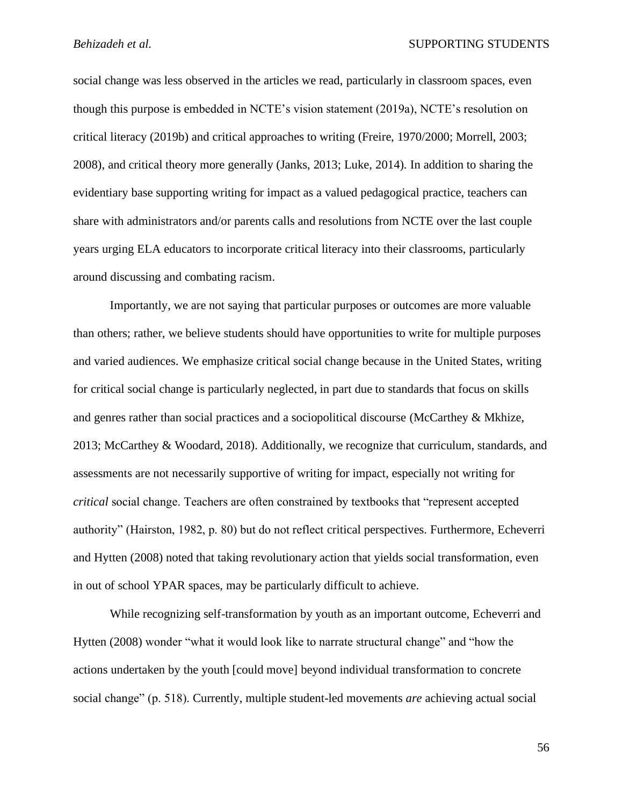social change was less observed in the articles we read, particularly in classroom spaces, even though this purpose is embedded in NCTE's vision statement (2019a), NCTE's resolution on critical literacy (2019b) and critical approaches to writing (Freire, 1970/2000; Morrell, 2003; 2008), and critical theory more generally (Janks, 2013; Luke, 2014). In addition to sharing the evidentiary base supporting writing for impact as a valued pedagogical practice, teachers can share with administrators and/or parents calls and resolutions from NCTE over the last couple years urging ELA educators to incorporate critical literacy into their classrooms, particularly around discussing and combating racism.

Importantly, we are not saying that particular purposes or outcomes are more valuable than others; rather, we believe students should have opportunities to write for multiple purposes and varied audiences. We emphasize critical social change because in the United States, writing for critical social change is particularly neglected, in part due to standards that focus on skills and genres rather than social practices and a sociopolitical discourse (McCarthey & Mkhize, 2013; McCarthey & Woodard, 2018). Additionally, we recognize that curriculum, standards, and assessments are not necessarily supportive of writing for impact, especially not writing for *critical* social change. Teachers are often constrained by textbooks that "represent accepted authority" (Hairston, 1982, p. 80) but do not reflect critical perspectives. Furthermore, Echeverri and Hytten (2008) noted that taking revolutionary action that yields social transformation, even in out of school YPAR spaces, may be particularly difficult to achieve.

While recognizing self-transformation by youth as an important outcome, Echeverri and Hytten (2008) wonder "what it would look like to narrate structural change" and "how the actions undertaken by the youth [could move] beyond individual transformation to concrete social change" (p. 518). Currently, multiple student-led movements *are* achieving actual social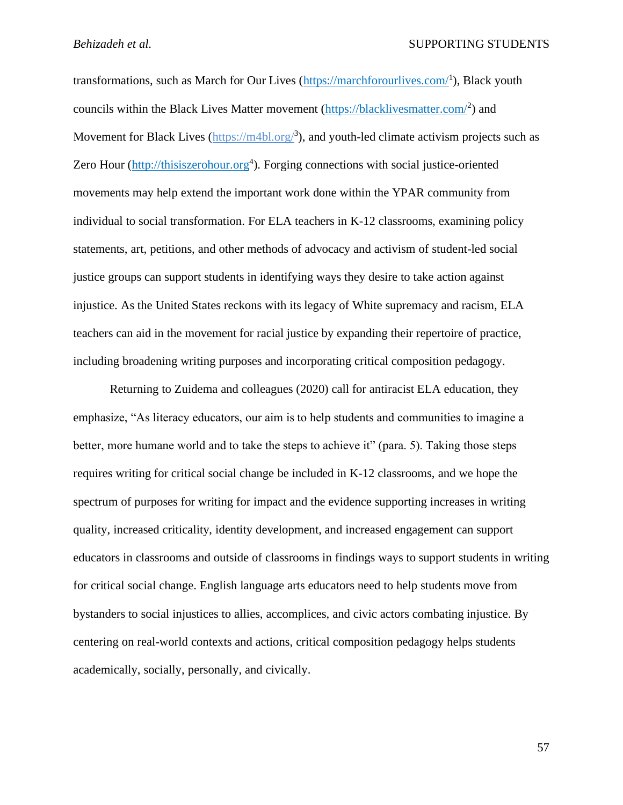transformations, such as March for Our Lives (*https://marchforourlives.com/*<sup>1</sup>), Black youth councils within the Black Lives Matter movement [\(https://blacklivesmatter.com/](https://blacklivesmatter.com/)<sup>2</sup>) and Movement for Black Lives [\(https://m4bl.org/](https://m4bl.org/)<sup>3</sup>), and youth-led climate activism projects such as Zero Hour [\(http://thisiszerohour.org](http://thisiszerohour.org/)<sup>4</sup>). Forging connections with social justice-oriented movements may help extend the important work done within the YPAR community from individual to social transformation. For ELA teachers in K-12 classrooms, examining policy statements, art, petitions, and other methods of advocacy and activism of student-led social justice groups can support students in identifying ways they desire to take action against injustice. As the United States reckons with its legacy of White supremacy and racism, ELA teachers can aid in the movement for racial justice by expanding their repertoire of practice, including broadening writing purposes and incorporating critical composition pedagogy.

Returning to Zuidema and colleagues (2020) call for antiracist ELA education, they emphasize, "As literacy educators, our aim is to help students and communities to imagine a better, more humane world and to take the steps to achieve it" (para. 5). Taking those steps requires writing for critical social change be included in K-12 classrooms, and we hope the spectrum of purposes for writing for impact and the evidence supporting increases in writing quality, increased criticality, identity development, and increased engagement can support educators in classrooms and outside of classrooms in findings ways to support students in writing for critical social change. English language arts educators need to help students move from bystanders to social injustices to allies, accomplices, and civic actors combating injustice. By centering on real-world contexts and actions, critical composition pedagogy helps students academically, socially, personally, and civically.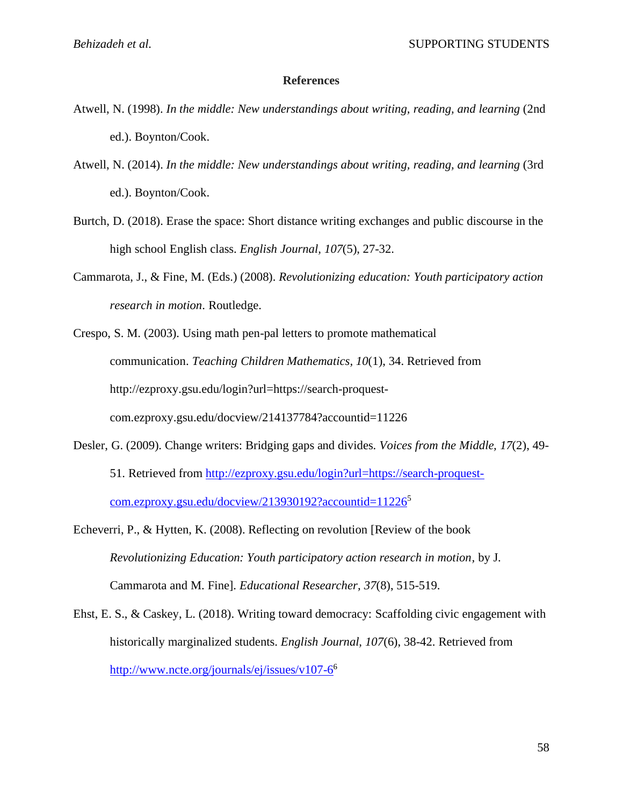# **References**

- Atwell, N. (1998). *In the middle: New understandings about writing, reading, and learning* (2nd ed.). Boynton/Cook.
- Atwell, N. (2014). *In the middle: New understandings about writing, reading, and learning* (3rd ed.). Boynton/Cook.
- Burtch, D. (2018). Erase the space: Short distance writing exchanges and public discourse in the high school English class. *English Journal, 107*(5), 27-32.
- Cammarota, J., & Fine, M. (Eds.) (2008). *Revolutionizing education: Youth participatory action research in motion*. Routledge.

Crespo, S. M. (2003). Using math pen-pal letters to promote mathematical communication. *Teaching Children Mathematics, 10*(1), 34. Retrieved from http://ezproxy.gsu.edu/login?url=https://search-proquestcom.ezproxy.gsu.edu/docview/214137784?accountid=11226

Desler, G. (2009). Change writers: Bridging gaps and divides. *Voices from the Middle, 17*(2), 49- 51. Retrieved from [http://ezproxy.gsu.edu/login?url=https://search-proquest](http://ezproxy.gsu.edu/login?url=https://search-proquest-com.ezproxy.gsu.edu/docview/213930192?accountid=11226)[com.ezproxy.gsu.edu/docview/213930192?accountid=11226](http://ezproxy.gsu.edu/login?url=https://search-proquest-com.ezproxy.gsu.edu/docview/213930192?accountid=11226)<sup>5</sup>

Echeverri, P., & Hytten, K. (2008). Reflecting on revolution [Review of the book *Revolutionizing Education: Youth participatory action research in motion,* by J. Cammarota and M. Fine]. *Educational Researcher, 37*(8), 515-519.

Ehst, E. S., & Caskey, L. (2018). Writing toward democracy: Scaffolding civic engagement with historically marginalized students. *English Journal, 107*(6), 38-42. Retrieved from <http://www.ncte.org/journals/ej/issues/v107-6><sup>6</sup>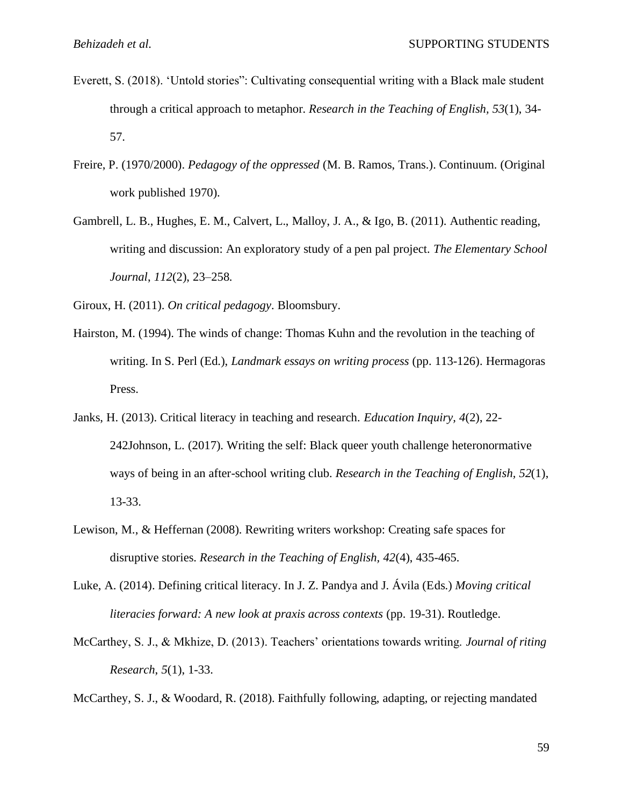- Everett, S. (2018). 'Untold stories": Cultivating consequential writing with a Black male student through a critical approach to metaphor. *Research in the Teaching of English, 53*(1), 34- 57.
- Freire, P. (1970/2000). *Pedagogy of the oppressed* (M. B. Ramos, Trans.). Continuum. (Original work published 1970).
- Gambrell, L. B., Hughes, E. M., Calvert, L., Malloy, J. A., & Igo, B. (2011). Authentic reading, writing and discussion: An exploratory study of a pen pal project. *The Elementary School Journal*, *112*(2), 23–258.

Giroux, H. (2011). *On critical pedagogy*. Bloomsbury.

- Hairston, M. (1994). The winds of change: Thomas Kuhn and the revolution in the teaching of writing. In S. Perl (Ed.), *Landmark essays on writing process* (pp. 113-126). Hermagoras Press.
- Janks, H. (2013). Critical literacy in teaching and research. *Education Inquiry, 4*(2), 22- 242Johnson, L. (2017). Writing the self: Black queer youth challenge heteronormative ways of being in an after-school writing club. *Research in the Teaching of English, 52*(1), 13-33.
- Lewison, M., & Heffernan (2008). Rewriting writers workshop: Creating safe spaces for disruptive stories. *Research in the Teaching of English, 42*(4), 435-465.
- Luke, A. (2014). Defining critical literacy. In J. Z. Pandya and J. Ávila (Eds.) *Moving critical literacies forward: A new look at praxis across contexts* (pp. 19-31). Routledge.
- McCarthey, S. J., & Mkhize, D. (2013). Teachers' orientations towards writing. *Journal of riting Research*, *5*(1), 1-33.

McCarthey, S. J., & Woodard, R. (2018). Faithfully following, adapting, or rejecting mandated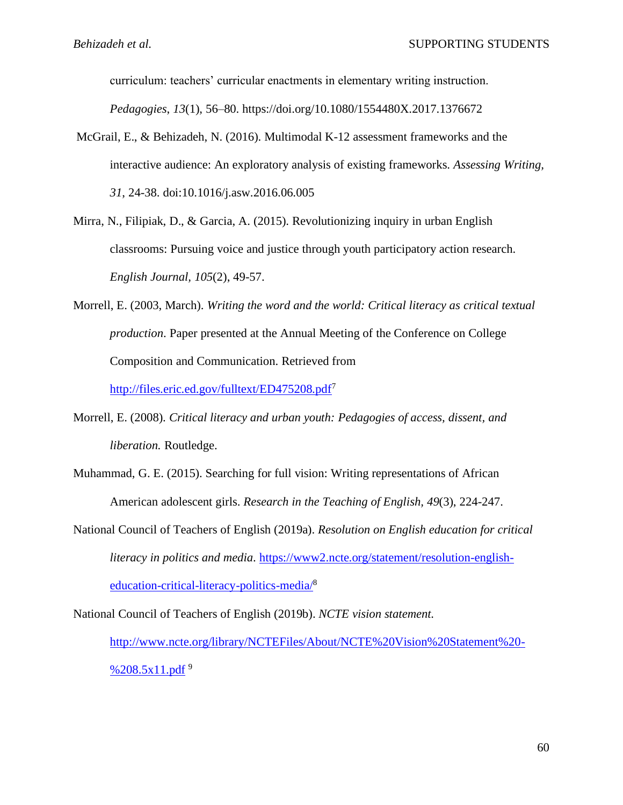curriculum: teachers' curricular enactments in elementary writing instruction.

*Pedagogies*, *13*(1), 56–80. https://doi.org/10.1080/1554480X.2017.1376672

- McGrail, E., & Behizadeh, N. (2016). Multimodal K-12 assessment frameworks and the interactive audience: An exploratory analysis of existing frameworks. *Assessing Writing, 31*, 24-38. doi:10.1016/j.asw.2016.06.005
- Mirra, N., Filipiak, D., & Garcia, A. (2015). Revolutionizing inquiry in urban English classrooms: Pursuing voice and justice through youth participatory action research. *English Journal, 105*(2), 49-57.
- Morrell, E. (2003, March). *Writing the word and the world: Critical literacy as critical textual production*. Paper presented at the Annual Meeting of the Conference on College Composition and Communication. Retrieved from

<http://files.eric.ed.gov/fulltext/ED475208.pdf><sup>7</sup>

- Morrell, E. (2008). *Critical literacy and urban youth: Pedagogies of access, dissent, and liberation.* Routledge.
- Muhammad, G. E. (2015). Searching for full vision: Writing representations of African American adolescent girls. *Research in the Teaching of English, 49*(3), 224-247.
- National Council of Teachers of English (2019a). *Resolution on English education for critical literacy in politics and media*. [https://www2.ncte.org/statement/resolution-english](https://www2.ncte.org/statement/resolution-english-education-critical-literacy-politics-media/)[education-critical-literacy-politics-media/](https://www2.ncte.org/statement/resolution-english-education-critical-literacy-politics-media/)<sup>8</sup>

National Council of Teachers of English (2019b). *NCTE vision statement.*

[http://www.ncte.org/library/NCTEFiles/About/NCTE%20Vision%20Statement%20-](http://www.ncte.org/library/NCTEFiles/About/NCTE%20Vision%20Statement%20-%208.5x11.pdf) %208.5 $x11$ .pdf<sup>9</sup>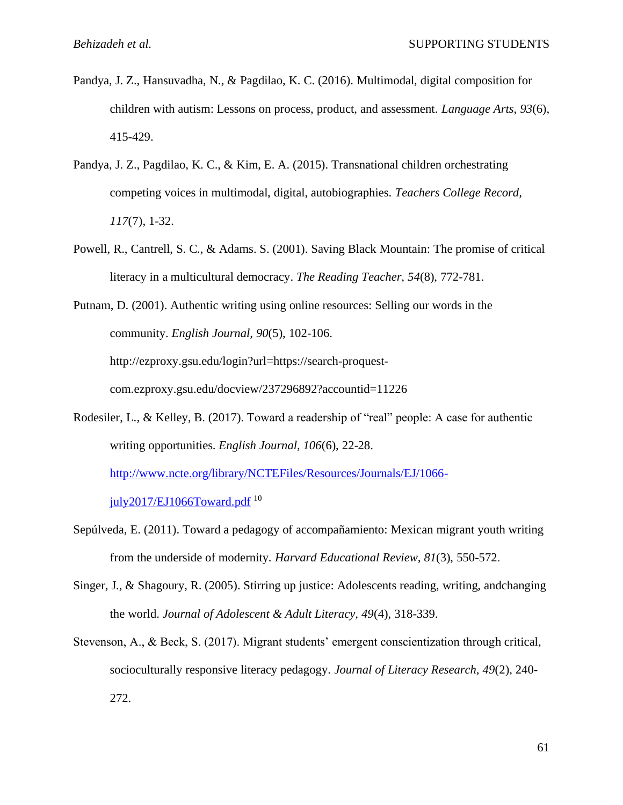- Pandya, J. Z., Hansuvadha, N., & Pagdilao, K. C. (2016). Multimodal, digital composition for children with autism: Lessons on process, product, and assessment. *Language Arts*, *93*(6), 415-429.
- Pandya, J. Z., Pagdilao, K. C., & Kim, E. A. (2015). Transnational children orchestrating competing voices in multimodal, digital, autobiographies. *Teachers College Record, 117*(7), 1-32.
- Powell, R., Cantrell, S. C., & Adams. S. (2001). Saving Black Mountain: The promise of critical literacy in a multicultural democracy. *The Reading Teacher, 54*(8), 772-781.

Putnam, D. (2001). Authentic writing using online resources: Selling our words in the community. *English Journal, 90*(5), 102-106. http://ezproxy.gsu.edu/login?url=https://search-proquestcom.ezproxy.gsu.edu/docview/237296892?accountid=11226

- Rodesiler, L., & Kelley, B. (2017). Toward a readership of "real" people: A case for authentic writing opportunities. *English Journal, 106*(6), 22-28. [http://www.ncte.org/library/NCTEFiles/Resources/Journals/EJ/1066](http://www.ncte.org/library/NCTEFiles/Resources/Journals/EJ/1066-july2017/EJ1066Toward.pdf) [july2017/EJ1066Toward.pdf](http://www.ncte.org/library/NCTEFiles/Resources/Journals/EJ/1066-july2017/EJ1066Toward.pdf)  $^{10}$
- Sepúlveda, E. (2011). Toward a pedagogy of accompañamiento: Mexican migrant youth writing from the underside of modernity. *Harvard Educational Review, 81*(3), 550-572.
- Singer, J., & Shagoury, R. (2005). Stirring up justice: Adolescents reading, writing, andchanging the world. *Journal of Adolescent & Adult Literacy, 49*(4), 318-339.
- Stevenson, A., & Beck, S. (2017). Migrant students' emergent conscientization through critical, socioculturally responsive literacy pedagogy. *Journal of Literacy Research, 49*(2), 240- 272.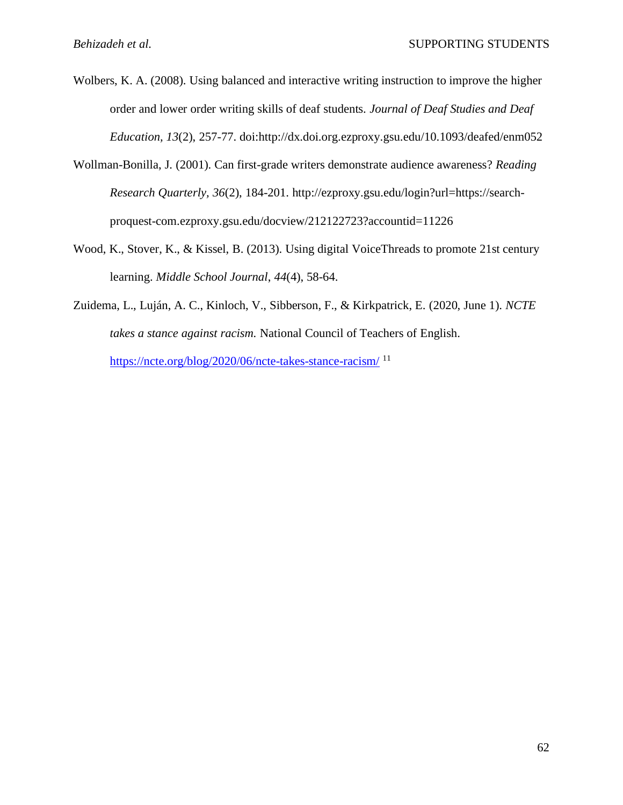- Wolbers, K. A. (2008). Using balanced and interactive writing instruction to improve the higher order and lower order writing skills of deaf students. *Journal of Deaf Studies and Deaf Education, 13*(2), 257-77. doi:http://dx.doi.org.ezproxy.gsu.edu/10.1093/deafed/enm052
- Wollman-Bonilla, J. (2001). Can first-grade writers demonstrate audience awareness? *Reading Research Quarterly, 36*(2), 184-201. http://ezproxy.gsu.edu/login?url=https://searchproquest-com.ezproxy.gsu.edu/docview/212122723?accountid=11226
- Wood, K., Stover, K., & Kissel, B. (2013). Using digital VoiceThreads to promote 21st century learning. *Middle School Journal*, *44*(4), 58-64.
- Zuidema, L., Luján, A. C., Kinloch, V., Sibberson, F., & Kirkpatrick, E. (2020, June 1). *NCTE takes a stance against racism.* National Council of Teachers of English. <https://ncte.org/blog/2020/06/ncte-takes-stance-racism/><sup>11</sup>